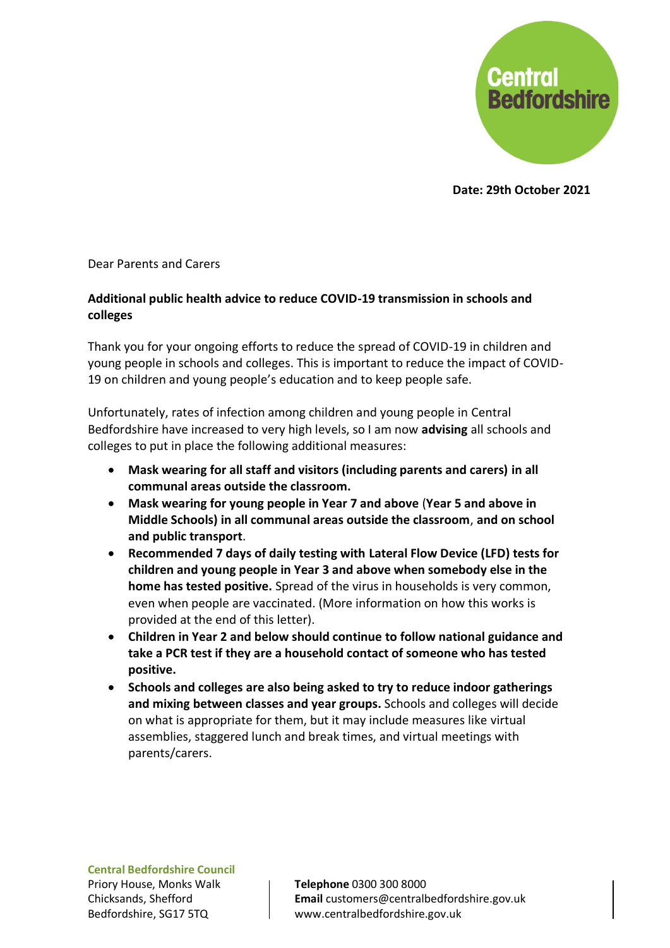

**Date: 29th October 2021**

Dear Parents and Carers

## **Additional public health advice to reduce COVID-19 transmission in schools and colleges**

Thank you for your ongoing efforts to reduce the spread of COVID-19 in children and young people in schools and colleges. This is important to reduce the impact of COVID-19 on children and young people's education and to keep people safe.

Unfortunately, rates of infection among children and young people in Central Bedfordshire have increased to very high levels, so I am now **advising** all schools and colleges to put in place the following additional measures:

- **Mask wearing for all staff and visitors (including parents and carers) in all communal areas outside the classroom.**
- **Mask wearing for young people in Year 7 and above** (**Year 5 and above in Middle Schools) in all communal areas outside the classroom**, **and on school and public transport**.
- **Recommended 7 days of daily testing with Lateral Flow Device (LFD) tests for children and young people in Year 3 and above when somebody else in the home has tested positive.** Spread of the virus in households is very common, even when people are vaccinated. (More information on how this works is provided at the end of this letter).
- **Children in Year 2 and below should continue to follow national guidance and take a PCR test if they are a household contact of someone who has tested positive.**
- **Schools and colleges are also being asked to try to reduce indoor gatherings and mixing between classes and year groups.** Schools and colleges will decide on what is appropriate for them, but it may include measures like virtual assemblies, staggered lunch and break times, and virtual meetings with parents/carers.

**Central Bedfordshire Council** Priory House, Monks Walk Chicksands, Shefford Bedfordshire, SG17 5TQ

**Telephone** 0300 300 8000 **Email** customers@centralbedfordshire.gov.uk www.centralbedfordshire.gov.uk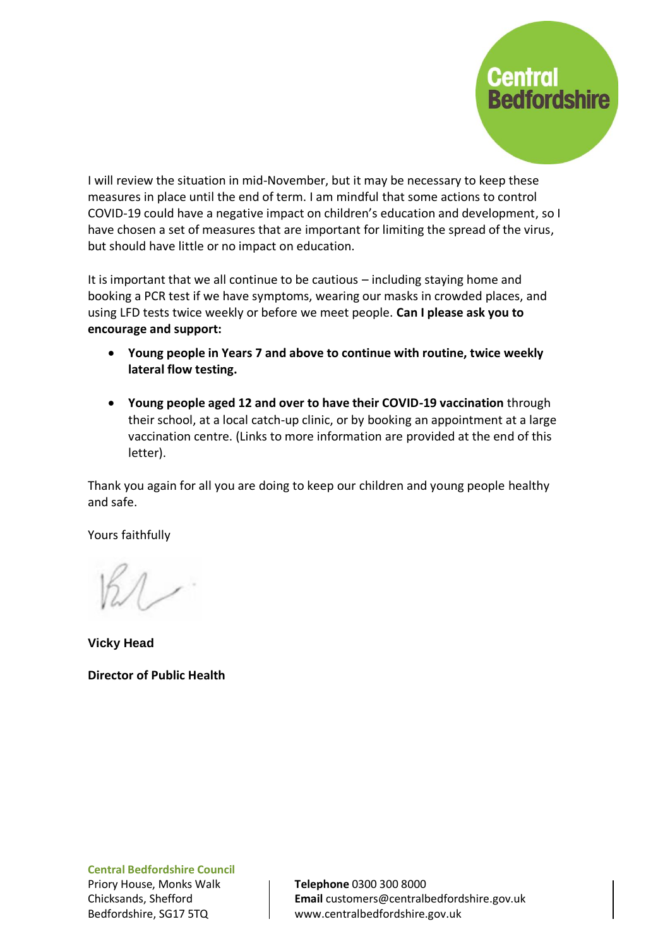

I will review the situation in mid-November, but it may be necessary to keep these measures in place until the end of term. I am mindful that some actions to control COVID-19 could have a negative impact on children's education and development, so I have chosen a set of measures that are important for limiting the spread of the virus, but should have little or no impact on education.

It is important that we all continue to be cautious – including staying home and booking a PCR test if we have symptoms, wearing our masks in crowded places, and using LFD tests twice weekly or before we meet people. **Can I please ask you to encourage and support:**

- **Young people in Years 7 and above to continue with routine, twice weekly lateral flow testing.**
- **Young people aged 12 and over to have their COVID-19 vaccination** through their school, at a local catch-up clinic, or by booking an appointment at a large vaccination centre. (Links to more information are provided at the end of this letter).

Thank you again for all you are doing to keep our children and young people healthy and safe.

Yours faithfully

**Vicky Head**

**Director of Public Health**

**Central Bedfordshire Council** Priory House, Monks Walk Chicksands, Shefford Bedfordshire, SG17 5TQ

**Telephone** 0300 300 8000 **Email** customers@centralbedfordshire.gov.uk www.centralbedfordshire.gov.uk